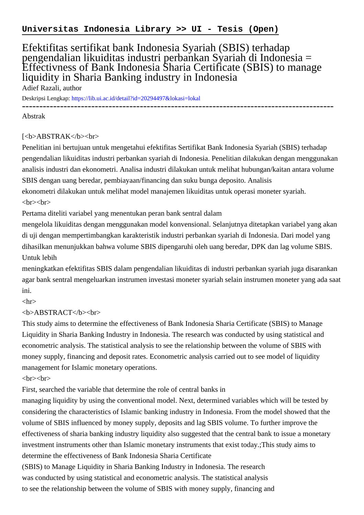## Efektifitas sertifikat bank Indonesia Syariah (SBIS) terhadap pengendalian likuiditas industri perbankan Syariah di Indonesia = Effectivness of Bank Indonesia Sharia Certificate (SBIS) to manage liquidity in Sharia Banking industry in Indonesia Adief Razali, author

Deskripsi Lengkap:<https://lib.ui.ac.id/detail?id=20294497&lokasi=lokal>

------------------------------------------------------------------------------------------

Abstrak

## [<b>ABSTRAK</b><br/>shr>

Penelitian ini bertujuan untuk mengetahui efektifitas Sertifikat Bank Indonesia Syariah (SBIS) terhadap pengendalian likuiditas industri perbankan syariah di Indonesia. Penelitian dilakukan dengan menggunakan analisis industri dan ekonometri. Analisa industri dilakukan untuk melihat hubungan/kaitan antara volume SBIS dengan uang beredar, pembiayaan/financing dan suku bunga deposito. Analisis

ekonometri dilakukan untuk melihat model manajemen likuiditas untuk operasi moneter syariah.  $\langle b r \rangle \langle b r \rangle$ 

Pertama diteliti variabel yang menentukan peran bank sentral dalam

mengelola likuiditas dengan menggunakan model konvensional. Selanjutnya ditetapkan variabel yang akan di uji dengan mempertimbangkan karakteristik industri perbankan syariah di Indonesia. Dari model yang dihasilkan menunjukkan bahwa volume SBIS dipengaruhi oleh uang beredar, DPK dan lag volume SBIS. Untuk lebih

meningkatkan efektifitas SBIS dalam pengendalian likuiditas di industri perbankan syariah juga disarankan agar bank sentral mengeluarkan instrumen investasi moneter syariah selain instrumen moneter yang ada saat ini.

 $\langle$ hr $>$ 

## <b>ABSTRACT</b><br>

This study aims to determine the effectiveness of Bank Indonesia Sharia Certificate (SBIS) to Manage Liquidity in Sharia Banking Industry in Indonesia. The research was conducted by using statistical and econometric analysis. The statistical analysis to see the relationship between the volume of SBIS with money supply, financing and deposit rates. Econometric analysis carried out to see model of liquidity management for Islamic monetary operations.

 $\langle b r \rangle \langle b r \rangle$ 

First, searched the variable that determine the role of central banks in

managing liquidity by using the conventional model. Next, determined variables which will be tested by considering the characteristics of Islamic banking industry in Indonesia. From the model showed that the volume of SBIS influenced by money supply, deposits and lag SBIS volume. To further improve the effectiveness of sharia banking industry liquidity also suggested that the central bank to issue a monetary investment instruments other than Islamic monetary instruments that exist today.;This study aims to determine the effectiveness of Bank Indonesia Sharia Certificate

(SBIS) to Manage Liquidity in Sharia Banking Industry in Indonesia. The research was conducted by using statistical and econometric analysis. The statistical analysis to see the relationship between the volume of SBIS with money supply, financing and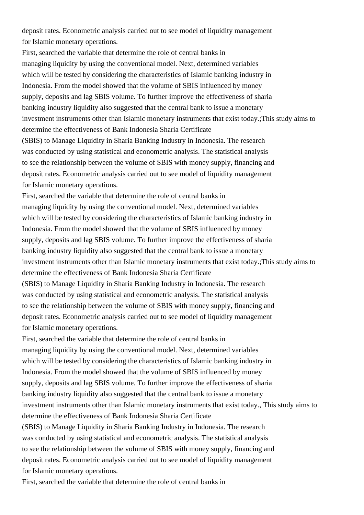deposit rates. Econometric analysis carried out to see model of liquidity management for Islamic monetary operations.

First, searched the variable that determine the role of central banks in managing liquidity by using the conventional model. Next, determined variables which will be tested by considering the characteristics of Islamic banking industry in Indonesia. From the model showed that the volume of SBIS influenced by money supply, deposits and lag SBIS volume. To further improve the effectiveness of sharia banking industry liquidity also suggested that the central bank to issue a monetary investment instruments other than Islamic monetary instruments that exist today.;This study aims to determine the effectiveness of Bank Indonesia Sharia Certificate (SBIS) to Manage Liquidity in Sharia Banking Industry in Indonesia. The research was conducted by using statistical and econometric analysis. The statistical analysis to see the relationship between the volume of SBIS with money supply, financing and deposit rates. Econometric analysis carried out to see model of liquidity management for Islamic monetary operations.

First, searched the variable that determine the role of central banks in managing liquidity by using the conventional model. Next, determined variables which will be tested by considering the characteristics of Islamic banking industry in Indonesia. From the model showed that the volume of SBIS influenced by money supply, deposits and lag SBIS volume. To further improve the effectiveness of sharia banking industry liquidity also suggested that the central bank to issue a monetary investment instruments other than Islamic monetary instruments that exist today.;This study aims to determine the effectiveness of Bank Indonesia Sharia Certificate (SBIS) to Manage Liquidity in Sharia Banking Industry in Indonesia. The research was conducted by using statistical and econometric analysis. The statistical analysis to see the relationship between the volume of SBIS with money supply, financing and

deposit rates. Econometric analysis carried out to see model of liquidity management for Islamic monetary operations.

First, searched the variable that determine the role of central banks in managing liquidity by using the conventional model. Next, determined variables which will be tested by considering the characteristics of Islamic banking industry in Indonesia. From the model showed that the volume of SBIS influenced by money supply, deposits and lag SBIS volume. To further improve the effectiveness of sharia banking industry liquidity also suggested that the central bank to issue a monetary investment instruments other than Islamic monetary instruments that exist today., This study aims to determine the effectiveness of Bank Indonesia Sharia Certificate (SBIS) to Manage Liquidity in Sharia Banking Industry in Indonesia. The research was conducted by using statistical and econometric analysis. The statistical analysis to see the relationship between the volume of SBIS with money supply, financing and deposit rates. Econometric analysis carried out to see model of liquidity management for Islamic monetary operations.

First, searched the variable that determine the role of central banks in